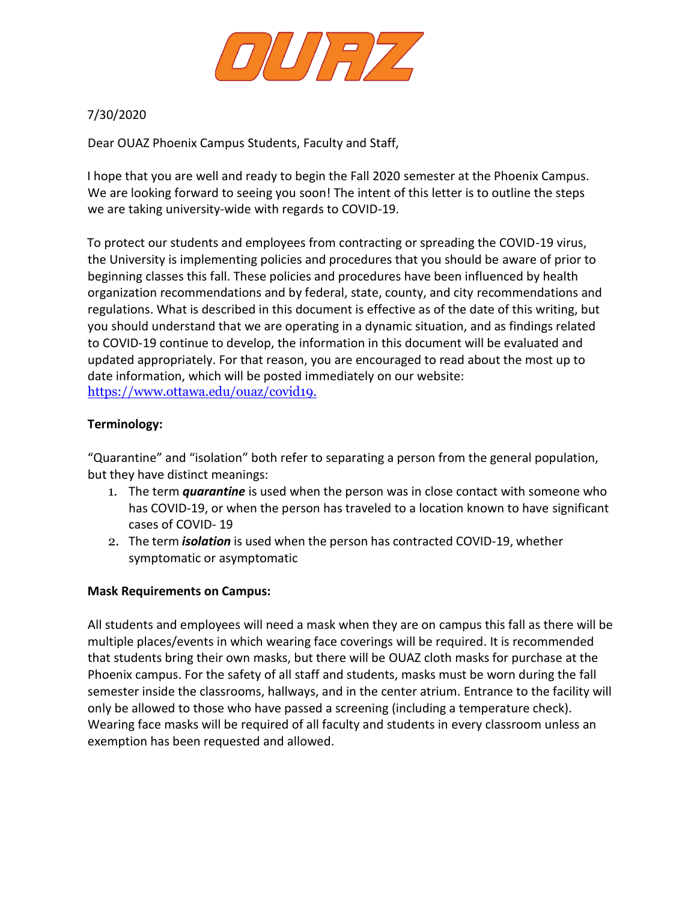

## 7/30/2020

Dear OUAZ Phoenix Campus Students, Faculty and Staff,

I hope that you are well and ready to begin the Fall 2020 semester at the Phoenix Campus. We are looking forward to seeing you soon! The intent of this letter is to outline the steps we are taking university-wide with regards to COVID-19.

To protect our students and employees from contracting or spreading the COVID-19 virus, the University is implementing policies and procedures that you should be aware of prior to beginning classes this fall. These policies and procedures have been influenced by health organization recommendations and by federal, state, county, and city recommendations and regulations. What is described in this document is effective as of the date of this writing, but you should understand that we are operating in a dynamic situation, and as findings related to COVID-19 continue to develop, the information in this document will be evaluated and updated appropriately. For that reason, you are encouraged to read about the most up to date information, which will be posted immediately on our website: [https://www.ottawa.edu/ouaz/covid19.](https://www.ottawa.edu/ouaz/covid19)

## **Terminology:**

"Quarantine" and "isolation" both refer to separating a person from the general population, but they have distinct meanings:

- 1. The term *quarantine* is used when the person was in close contact with someone who has COVID-19, or when the person has traveled to a location known to have significant cases of COVID- 19
- 2. The term *isolation* is used when the person has contracted COVID-19, whether symptomatic or asymptomatic

## **Mask Requirements on Campus:**

All students and employees will need a mask when they are on campus this fall as there will be multiple places/events in which wearing face coverings will be required. It is recommended that students bring their own masks, but there will be OUAZ cloth masks for purchase at the Phoenix campus. For the safety of all staff and students, masks must be worn during the fall semester inside the classrooms, hallways, and in the center atrium. Entrance to the facility will only be allowed to those who have passed a screening (including a temperature check). Wearing face masks will be required of all faculty and students in every classroom unless an exemption has been requested and allowed.